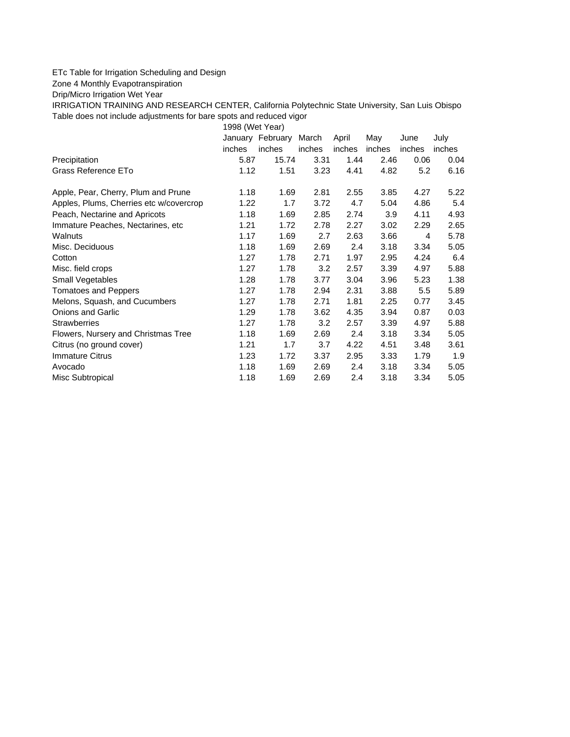## ETc Table for Irrigation Scheduling and Design

Zone 4 Monthly Evapotranspiration

Drip/Micro Irrigation Wet Year

IRRIGATION TRAINING AND RESEARCH CENTER, California Polytechnic State University, San Luis Obispo Table does not include adjustments for bare spots and reduced vigor

1998 (Wet Year)

|                                         |        | January February | March  | April  | May    | June   | July   |
|-----------------------------------------|--------|------------------|--------|--------|--------|--------|--------|
|                                         | inches | inches           | inches | inches | inches | inches | inches |
| Precipitation                           | 5.87   | 15.74            | 3.31   | 1.44   | 2.46   | 0.06   | 0.04   |
| Grass Reference ETo                     | 1.12   | 1.51             | 3.23   | 4.41   | 4.82   | 5.2    | 6.16   |
| Apple, Pear, Cherry, Plum and Prune     | 1.18   | 1.69             | 2.81   | 2.55   | 3.85   | 4.27   | 5.22   |
| Apples, Plums, Cherries etc w/covercrop | 1.22   | 1.7              | 3.72   | 4.7    | 5.04   | 4.86   | 5.4    |
| Peach, Nectarine and Apricots           | 1.18   | 1.69             | 2.85   | 2.74   | 3.9    | 4.11   | 4.93   |
| Immature Peaches, Nectarines, etc.      | 1.21   | 1.72             | 2.78   | 2.27   | 3.02   | 2.29   | 2.65   |
| Walnuts                                 | 1.17   | 1.69             | 2.7    | 2.63   | 3.66   | 4      | 5.78   |
| Misc. Deciduous                         | 1.18   | 1.69             | 2.69   | 2.4    | 3.18   | 3.34   | 5.05   |
| Cotton                                  | 1.27   | 1.78             | 2.71   | 1.97   | 2.95   | 4.24   | 6.4    |
| Misc. field crops                       | 1.27   | 1.78             | 3.2    | 2.57   | 3.39   | 4.97   | 5.88   |
| Small Vegetables                        | 1.28   | 1.78             | 3.77   | 3.04   | 3.96   | 5.23   | 1.38   |
| <b>Tomatoes and Peppers</b>             | 1.27   | 1.78             | 2.94   | 2.31   | 3.88   | 5.5    | 5.89   |
| Melons, Squash, and Cucumbers           | 1.27   | 1.78             | 2.71   | 1.81   | 2.25   | 0.77   | 3.45   |
| <b>Onions and Garlic</b>                | 1.29   | 1.78             | 3.62   | 4.35   | 3.94   | 0.87   | 0.03   |
| <b>Strawberries</b>                     | 1.27   | 1.78             | 3.2    | 2.57   | 3.39   | 4.97   | 5.88   |
| Flowers, Nursery and Christmas Tree     | 1.18   | 1.69             | 2.69   | 2.4    | 3.18   | 3.34   | 5.05   |
| Citrus (no ground cover)                | 1.21   | 1.7              | 3.7    | 4.22   | 4.51   | 3.48   | 3.61   |
| Immature Citrus                         | 1.23   | 1.72             | 3.37   | 2.95   | 3.33   | 1.79   | 1.9    |
| Avocado                                 | 1.18   | 1.69             | 2.69   | 2.4    | 3.18   | 3.34   | 5.05   |
| Misc Subtropical                        | 1.18   | 1.69             | 2.69   | 2.4    | 3.18   | 3.34   | 5.05   |